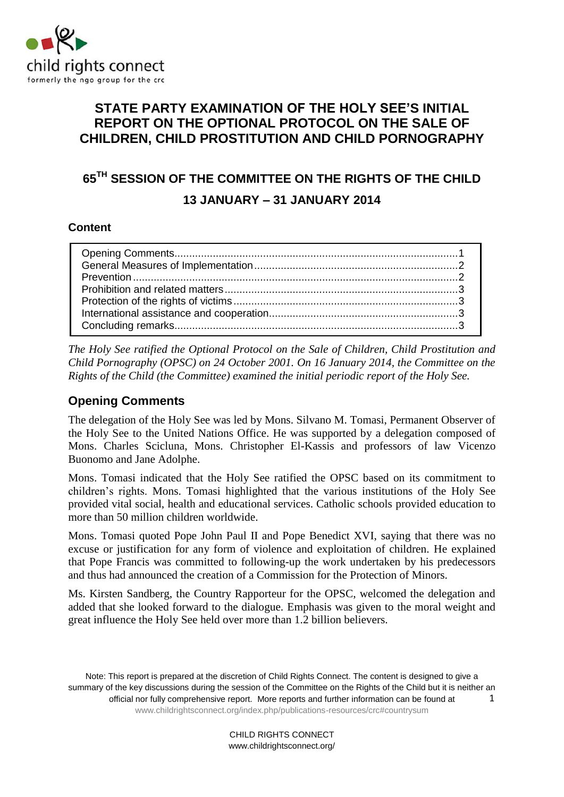

# **STATE PARTY EXAMINATION OF THE HOLY SEE'S INITIAL REPORT ON THE OPTIONAL PROTOCOL ON THE SALE OF CHILDREN, CHILD PROSTITUTION AND CHILD PORNOGRAPHY**

# **65TH SESSION OF THE COMMITTEE ON THE RIGHTS OF THE CHILD 13 JANUARY – 31 JANUARY 2014**

#### **Content**

*The Holy See ratified the Optional Protocol on the Sale of Children, Child Prostitution and Child Pornography (OPSC) on 24 October 2001. On 16 January 2014, the Committee on the Rights of the Child (the Committee) examined the initial periodic report of the Holy See.* 

## <span id="page-0-0"></span>**Opening Comments**

The delegation of the Holy See was led by Mons. Silvano M. Tomasi, Permanent Observer of the Holy See to the United Nations Office. He was supported by a delegation composed of Mons. Charles Scicluna, Mons. Christopher El-Kassis and professors of law Vicenzo Buonomo and Jane Adolphe.

Mons. Tomasi indicated that the Holy See ratified the OPSC based on its commitment to children's rights. Mons. Tomasi highlighted that the various institutions of the Holy See provided vital social, health and educational services. Catholic schools provided education to more than 50 million children worldwide.

Mons. Tomasi quoted Pope John Paul II and Pope Benedict XVI, saying that there was no excuse or justification for any form of violence and exploitation of children. He explained that Pope Francis was committed to following-up the work undertaken by his predecessors and thus had announced the creation of a Commission for the Protection of Minors.

Ms. Kirsten Sandberg, the Country Rapporteur for the OPSC, welcomed the delegation and added that she looked forward to the dialogue. Emphasis was given to the moral weight and great influence the Holy See held over more than 1.2 billion believers.

<span id="page-0-1"></span>Note: This report is prepared at the discretion of Child Rights Connect. The content is designed to give a summary of the key discussions during the session of the Committee on the Rights of the Child but it is neither an official nor fully comprehensive report. More reports and further information can be found at [www.childrightsconnect.org/index.php/publications-resources/crc#countrysum](http://www.childrightsconnect.org/index.php/publications-resources/crc#countrysum) 1

> CHILD RIGHTS CONNECT www.childrightsconnect.org/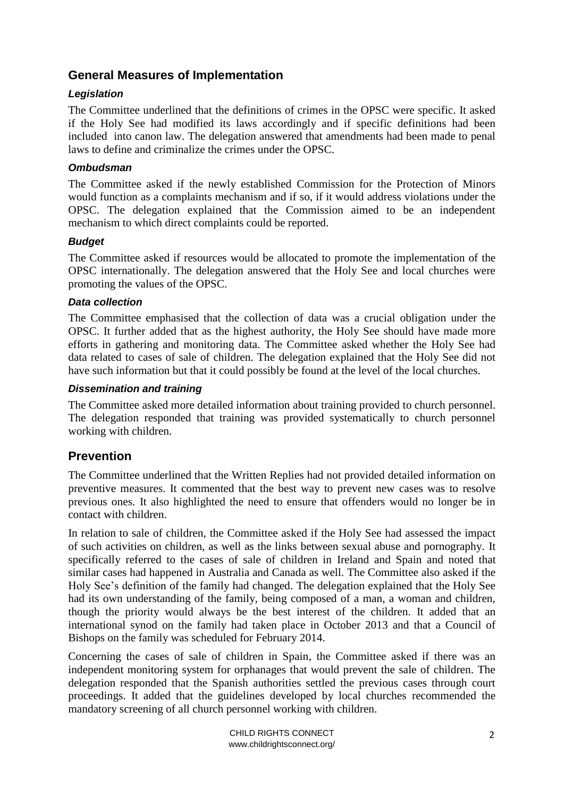## **General Measures of Implementation**

### *Legislation*

The Committee underlined that the definitions of crimes in the OPSC were specific. It asked if the Holy See had modified its laws accordingly and if specific definitions had been included into canon law. The delegation answered that amendments had been made to penal laws to define and criminalize the crimes under the OPSC.

#### *Ombudsman*

The Committee asked if the newly established Commission for the Protection of Minors would function as a complaints mechanism and if so, if it would address violations under the OPSC. The delegation explained that the Commission aimed to be an independent mechanism to which direct complaints could be reported.

#### *Budget*

The Committee asked if resources would be allocated to promote the implementation of the OPSC internationally. The delegation answered that the Holy See and local churches were promoting the values of the OPSC.

#### *Data collection*

The Committee emphasised that the collection of data was a crucial obligation under the OPSC. It further added that as the highest authority, the Holy See should have made more efforts in gathering and monitoring data. The Committee asked whether the Holy See had data related to cases of sale of children. The delegation explained that the Holy See did not have such information but that it could possibly be found at the level of the local churches.

#### *Dissemination and training*

The Committee asked more detailed information about training provided to church personnel. The delegation responded that training was provided systematically to church personnel working with children.

## <span id="page-1-0"></span>**Prevention**

The Committee underlined that the Written Replies had not provided detailed information on preventive measures. It commented that the best way to prevent new cases was to resolve previous ones. It also highlighted the need to ensure that offenders would no longer be in contact with children.

In relation to sale of children, the Committee asked if the Holy See had assessed the impact of such activities on children, as well as the links between sexual abuse and pornography. It specifically referred to the cases of sale of children in Ireland and Spain and noted that similar cases had happened in Australia and Canada as well. The Committee also asked if the Holy See's definition of the family had changed. The delegation explained that the Holy See had its own understanding of the family, being composed of a man, a woman and children, though the priority would always be the best interest of the children. It added that an international synod on the family had taken place in October 2013 and that a Council of Bishops on the family was scheduled for February 2014.

Concerning the cases of sale of children in Spain, the Committee asked if there was an independent monitoring system for orphanages that would prevent the sale of children. The delegation responded that the Spanish authorities settled the previous cases through court proceedings. It added that the guidelines developed by local churches recommended the mandatory screening of all church personnel working with children.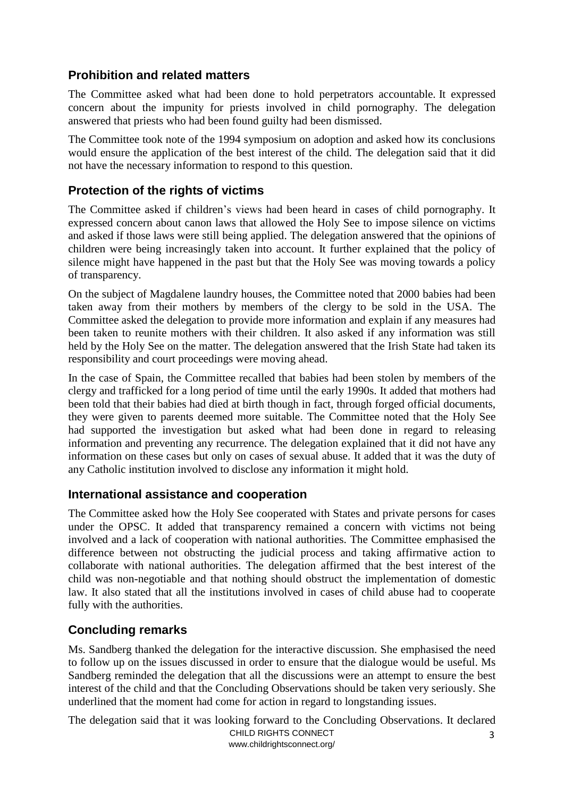## <span id="page-2-0"></span>**Prohibition and related matters**

The Committee asked what had been done to hold perpetrators accountable. It expressed concern about the impunity for priests involved in child pornography. The delegation answered that priests who had been found guilty had been dismissed.

The Committee took note of the 1994 symposium on adoption and asked how its conclusions would ensure the application of the best interest of the child. The delegation said that it did not have the necessary information to respond to this question.

## <span id="page-2-1"></span>**Protection of the rights of victims**

The Committee asked if children's views had been heard in cases of child pornography. It expressed concern about canon laws that allowed the Holy See to impose silence on victims and asked if those laws were still being applied. The delegation answered that the opinions of children were being increasingly taken into account. It further explained that the policy of silence might have happened in the past but that the Holy See was moving towards a policy of transparency.

On the subject of Magdalene laundry houses, the Committee noted that 2000 babies had been taken away from their mothers by members of the clergy to be sold in the USA. The Committee asked the delegation to provide more information and explain if any measures had been taken to reunite mothers with their children. It also asked if any information was still held by the Holy See on the matter. The delegation answered that the Irish State had taken its responsibility and court proceedings were moving ahead.

In the case of Spain, the Committee recalled that babies had been stolen by members of the clergy and trafficked for a long period of time until the early 1990s. It added that mothers had been told that their babies had died at birth though in fact, through forged official documents, they were given to parents deemed more suitable. The Committee noted that the Holy See had supported the investigation but asked what had been done in regard to releasing information and preventing any recurrence. The delegation explained that it did not have any information on these cases but only on cases of sexual abuse. It added that it was the duty of any Catholic institution involved to disclose any information it might hold.

## <span id="page-2-2"></span>**International assistance and cooperation**

The Committee asked how the Holy See cooperated with States and private persons for cases under the OPSC. It added that transparency remained a concern with victims not being involved and a lack of cooperation with national authorities. The Committee emphasised the difference between not obstructing the judicial process and taking affirmative action to collaborate with national authorities. The delegation affirmed that the best interest of the child was non-negotiable and that nothing should obstruct the implementation of domestic law. It also stated that all the institutions involved in cases of child abuse had to cooperate fully with the authorities.

## <span id="page-2-3"></span>**Concluding remarks**

Ms. Sandberg thanked the delegation for the interactive discussion. She emphasised the need to follow up on the issues discussed in order to ensure that the dialogue would be useful. Ms Sandberg reminded the delegation that all the discussions were an attempt to ensure the best interest of the child and that the Concluding Observations should be taken very seriously. She underlined that the moment had come for action in regard to longstanding issues.

CHILD RIGHTS CONNECT www.childrightsconnect.org/ 3 The delegation said that it was looking forward to the Concluding Observations. It declared